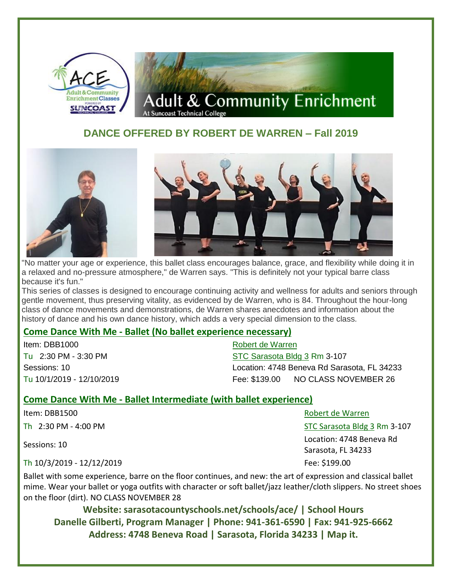## **Adult & Community Enrichment Enrichment Classes INCOAST**

## **DANCE OFFERED BY ROBERT DE WARREN – Fall 2019**



"No matter your age or experience, this ballet class encourages balance, grace, and flexibility while doing it in a relaxed and no-pressure atmosphere," de Warren says. "This is definitely not your typical barre class because it's fun."

This series of classes is designed to encourage continuing activity and wellness for adults and seniors through gentle movement, thus preserving vitality, as evidenced by de Warren, who is 84. Throughout the hour-long class of dance movements and demonstrations, de Warren shares anecdotes and information about the history of dance and his own dance history, which adds a very special dimension to the class.

## **Come Dance With Me - [Ballet \(No ballet experience necessary\)](https://www.campusce.net/acesarasota/course/course.aspx?C=1136&pc=1&mc=294&sc=0)**

Item: DBB1000 [Robert de Warren](javascript:;)

Tu 2:30 PM - 3:30 PM [STC Sarasota Bldg 3](http://www.mapquest.com/maps?address=4748%20Beneva%20Rd&city=Sarasota&state=FL&zipcode=34233) Rm 3-107 Sessions: 10 Location: 4748 Beneva Rd Sarasota, FL 34233 Tu 10/1/2019 - 12/10/2019 Fee: \$139.00 NO CLASS NOVEMBER 26

## **Come Dance With Me - [Ballet Intermediate \(with ballet experience\)](https://www.campusce.net/acesarasota/course/course.aspx?C=1751&pc=1&mc=294&sc=0)**

Item: DBB1500 [Robert de Warren](javascript:;)

Th 2:30 PM - 4:00 PM Sessions: 10 Location: 4748 Beneva Rd Sarasota, FL 34233

Th 10/3/2019 - 12/12/2019 **Fee:** \$199.00

Ballet with some experience, barre on the floor continues, and new: the art of expression and classical ballet mime. Wear your ballet or yoga outfits with character or soft ballet/jazz leather/cloth slippers. No street shoes on the floor (dirt). NO CLASS NOVEMBER 28

**Website: sarasotacountyschools.net/schools/ace/ | School Hours Danelle Gilberti, Program Manager | Phone: 941-361-6590 | Fax: 941-925-6662 Address: 4748 Beneva Road | Sarasota, Florida 34233 | Map it.**